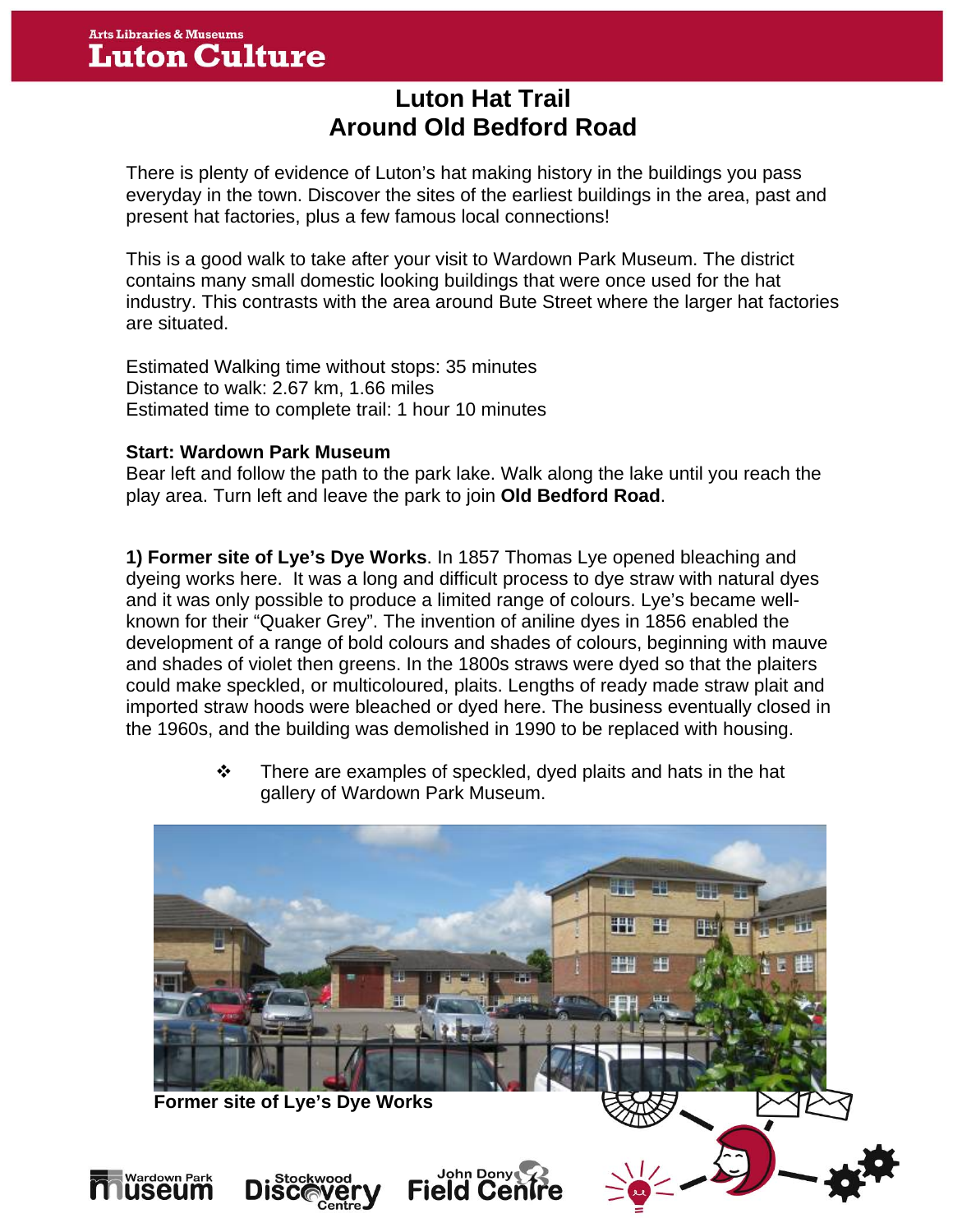# **Luton Hat Trail Around Old Bedford Road**

There is plenty of evidence of Luton's hat making history in the buildings you pass everyday in the town. Discover the sites of the earliest buildings in the area, past and present hat factories, plus a few famous local connections!

This is a good walk to take after your visit to Wardown Park Museum. The district contains many small domestic looking buildings that were once used for the hat industry. This contrasts with the area around Bute Street where the larger hat factories are situated.

Estimated Walking time without stops: 35 minutes Distance to walk: 2.67 km, 1.66 miles Estimated time to complete trail: 1 hour 10 minutes

#### **Start: Wardown Park Museum**

Bear left and follow the path to the park lake. Walk along the lake until you reach the play area. Turn left and leave the park to join **Old Bedford Road**.

**1) Former site of Lye's Dye Works**. In 1857 Thomas Lye opened bleaching and dyeing works here. It was a long and difficult process to dye straw with natural dyes and it was only possible to produce a limited range of colours. Lye's became wellknown for their "Quaker Grey". The invention of aniline dyes in 1856 enabled the development of a range of bold colours and shades of colours, beginning with mauve and shades of violet then greens. In the 1800s straws were dyed so that the plaiters could make speckled, or multicoloured, plaits. Lengths of ready made straw plait and imported straw hoods were bleached or dyed here. The business eventually closed in the 1960s, and the building was demolished in 1990 to be replaced with housing.

> $\cdot \cdot$  There are examples of speckled, dyed plaits and hats in the hat gallery of Wardown Park Museum.

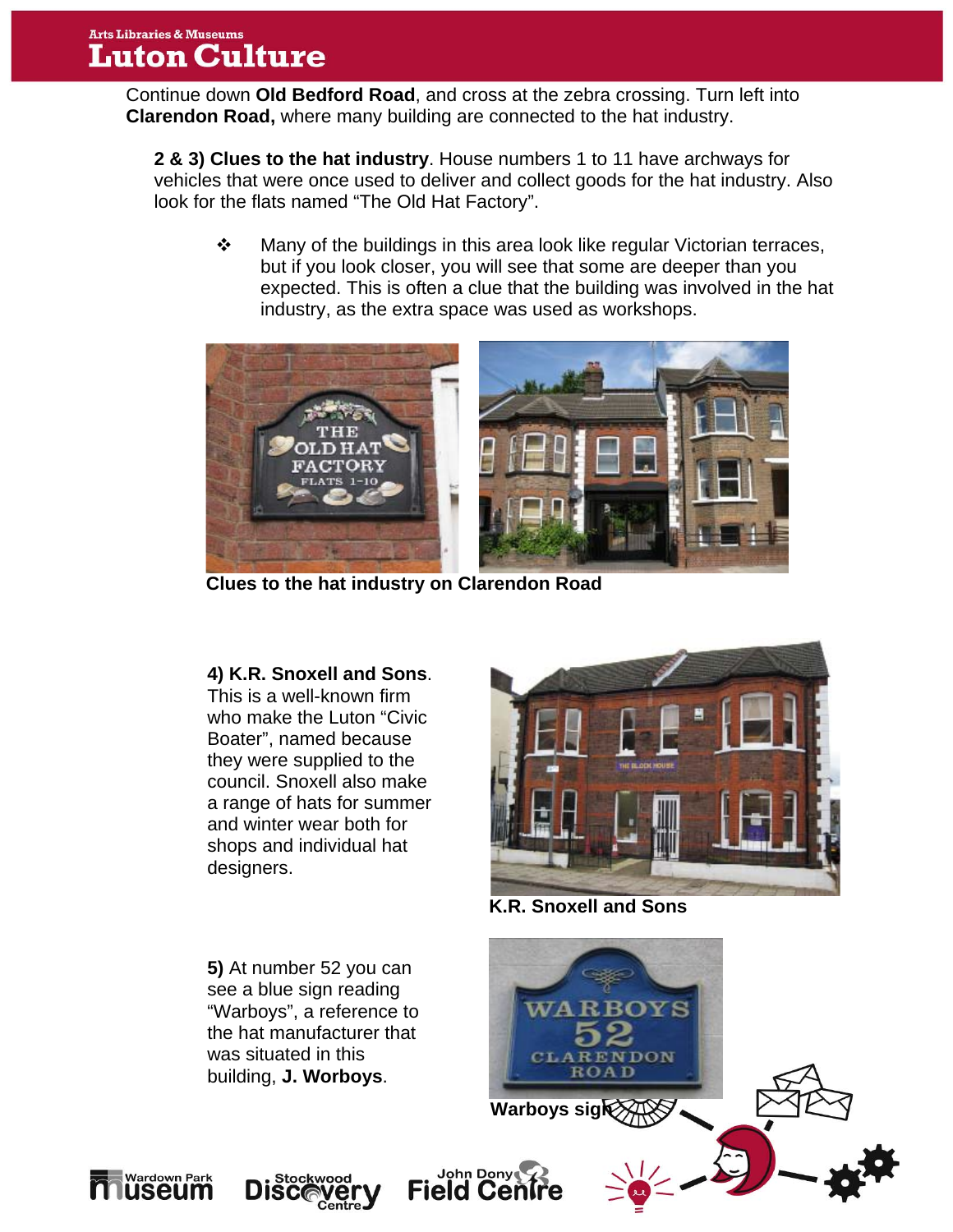Continue down **Old Bedford Road**, and cross at the zebra crossing. Turn left into **Clarendon Road,** where many building are connected to the hat industry.

**2 & 3) Clues to the hat industry**. House numbers 1 to 11 have archways for vehicles that were once used to deliver and collect goods for the hat industry. Also look for the flats named "The Old Hat Factory".

• Many of the buildings in this area look like regular Victorian terraces, but if you look closer, you will see that some are deeper than you expected. This is often a clue that the building was involved in the hat industry, as the extra space was used as workshops.



**Clues to the hat industry on Clarendon Road** 

### **4) K.R. Snoxell and Sons**.

This is a well-known firm who make the Luton "Civic Boater", named because they were supplied to the council. Snoxell also make a range of hats for summer and winter wear both for shops and individual hat designers.



**K.R. Snoxell and Sons** 

**5)** At number 52 you can see a blue sign reading WА **OYS** "Warboys", a reference to the hat manufacturer that was situated in this ENDON CL A R **ROAD** building, **J. Worboys**. **Warboys sigk** John Dony **DISC** 





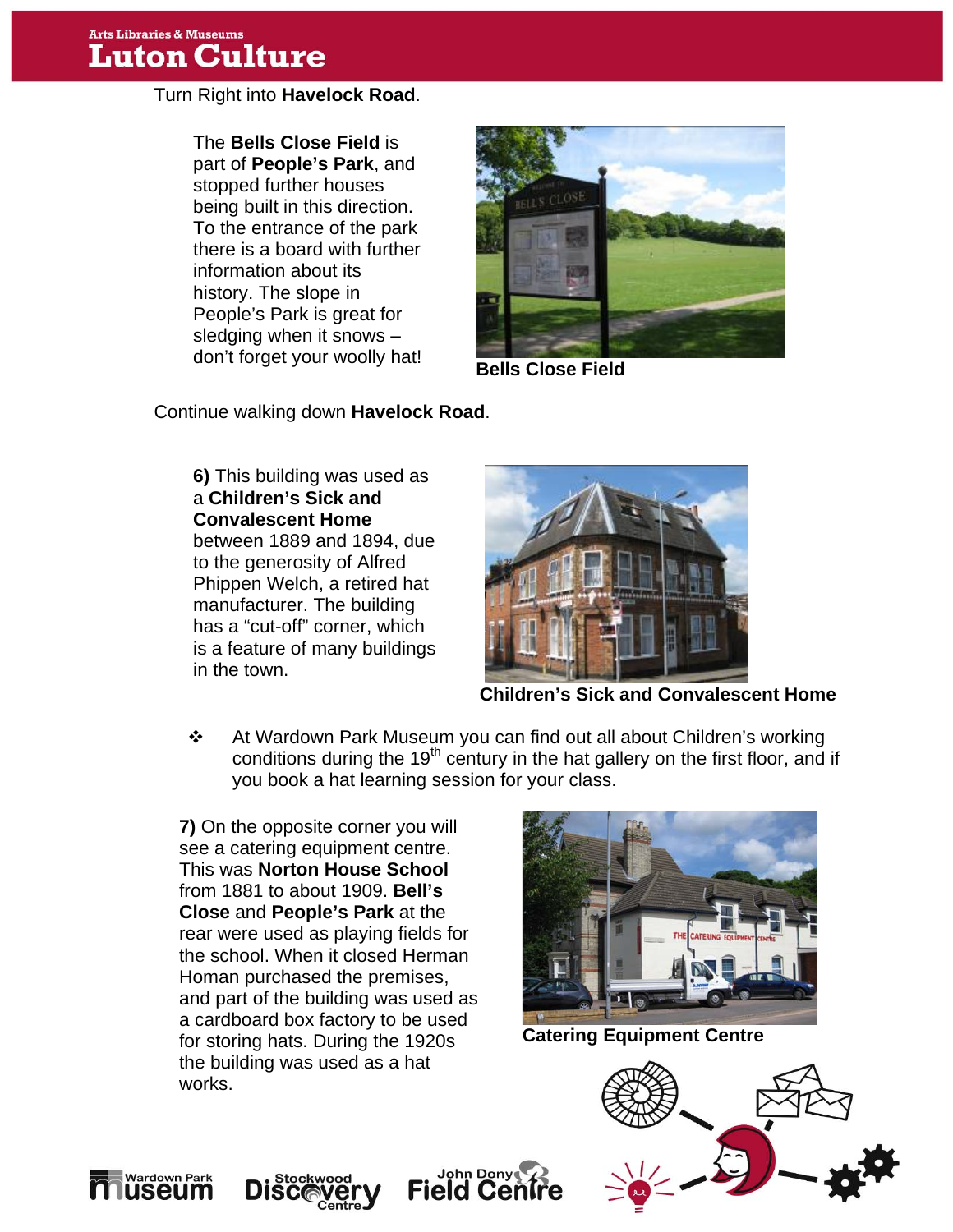Turn Right into **Havelock Road**.

don't forget your woolly hat!<br> **Bells Close Field** The **Bells Close Field** is part of **People's Park**, and stopped further houses being built in this direction. To the entrance of the park there is a board with further information about its history. The slope in People's Park is great for sledging when it snows –



Continue walking down **Havelock Road**.

**6)** This building was used as a **Children's Sick and Convalescent Home**  between 1889 and 1894, due to the generosity of Alfred Phippen Welch, a retired hat manufacturer. The building has a "cut-off" corner, which is a feature of many buildings in the town.



**Children's Sick and Convalescent Home**

 At Wardown Park Museum you can find out all about Children's working conditions during the 19<sup>th</sup> century in the hat gallery on the first floor, and if you book a hat learning session for your class.

a cardboard box factory to be used<br>for storing hats. During the 1920s<br>**Catering Equipment Centre** works. **Works**. **7)** On the opposite corner you will see a catering equipment centre. This was **Norton House School** from 1881 to about 1909. **Bell's Close** and **People's Park** at the rear were used as playing fields for the school. When it closed Herman Homan purchased the premises, and part of the building was used as for storing hats. During the 1920s the building was used as a hat









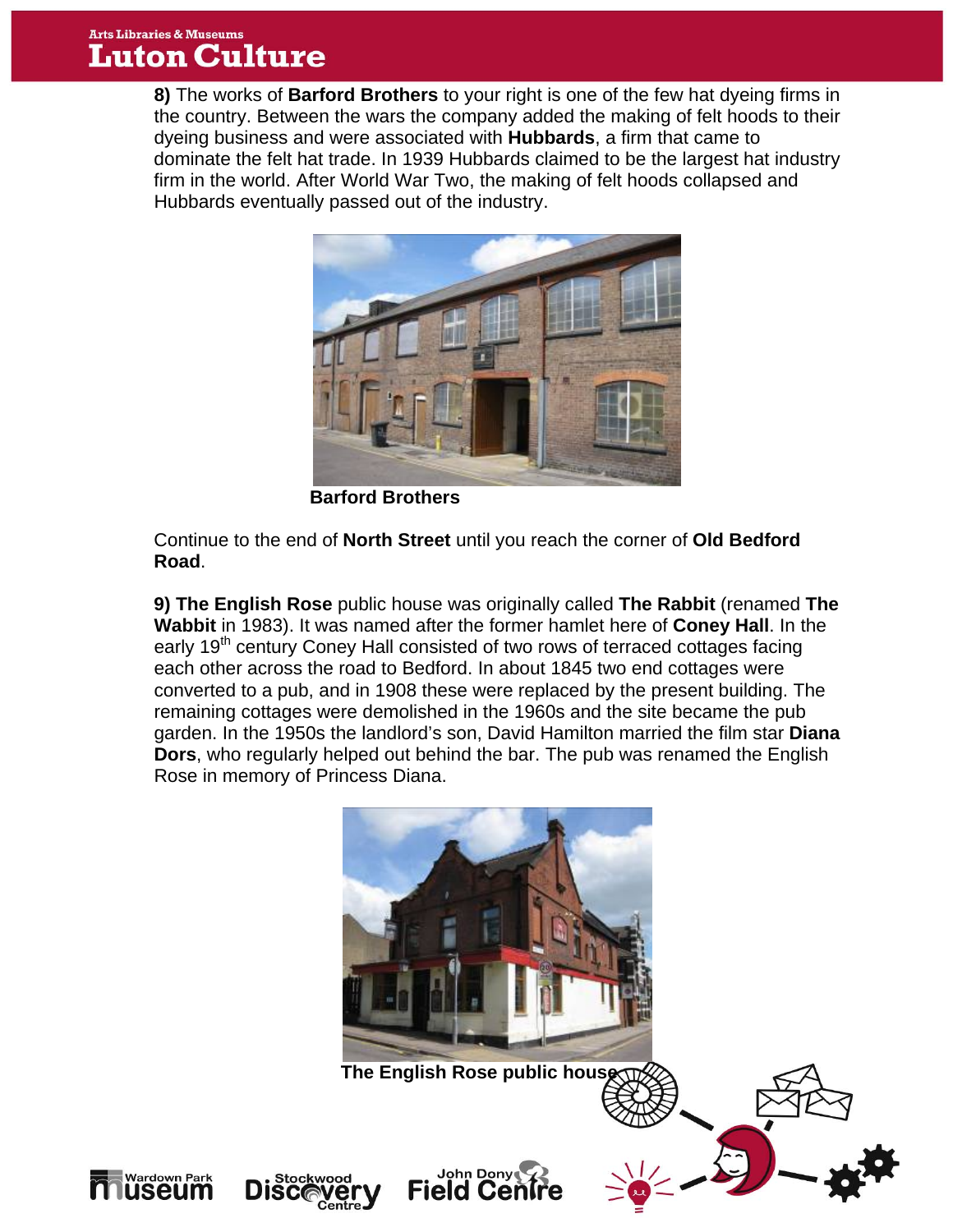## **Arts Libraries & Museums Luton Culture**

**Nardown Par** 

useum

**8)** The works of **Barford Brothers** to your right is one of the few hat dyeing firms in the country. Between the wars the company added the making of felt hoods to their dyeing business and were associated with **Hubbards**, a firm that came to dominate the felt hat trade. In 1939 Hubbards claimed to be the largest hat industry firm in the world. After World War Two, the making of felt hoods collapsed and Hubbards eventually passed out of the industry.



 **Barford Brothers**

Continue to the end of **North Street** until you reach the corner of **Old Bedford Road**.

**9) The English Rose** public house was originally called **The Rabbit** (renamed **The Wabbit** in 1983). It was named after the former hamlet here of **Coney Hall**. In the early 19<sup>th</sup> century Coney Hall consisted of two rows of terraced cottages facing each other across the road to Bedford. In about 1845 two end cottages were converted to a pub, and in 1908 these were replaced by the present building. The remaining cottages were demolished in the 1960s and the site became the pub garden. In the 1950s the landlord's son, David Hamilton married the film star **Diana Dors**, who regularly helped out behind the bar. The pub was renamed the English Rose in memory of Princess Diana.



**The English Rose public hous** 

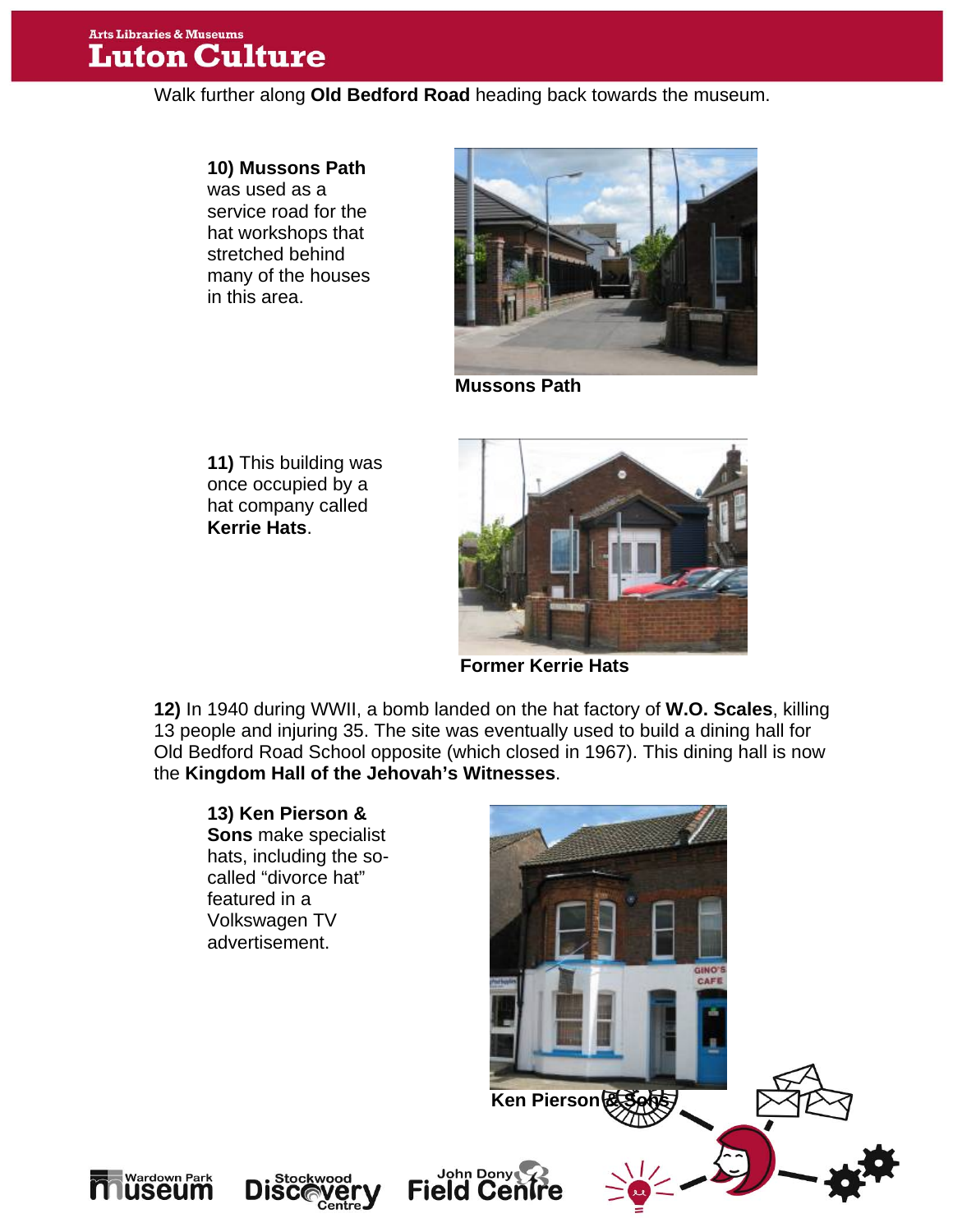## **Arts Libraries & Museums Luton Culture**

Walk further along **Old Bedford Road** heading back towards the museum.

#### **10) Mussons Path**

was used as a service road for the hat workshops that stretched behind many of the houses in this area.



**Mussons Path** 

**11)** This building was once occupied by a hat company called **Kerrie Hats**.



**Former Kerrie Hats**

**12)** In 1940 during WWII, a bomb landed on the hat factory of **W.O. Scales**, killing 13 people and injuring 35. The site was eventually used to build a dining hall for Old Bedford Road School opposite (which closed in 1967). This dining hall is now the **Kingdom Hall of the Jehovah's Witnesses**.